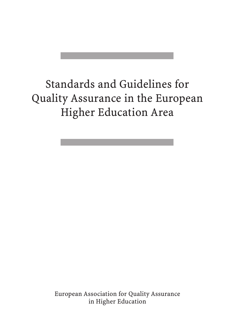# Standards and Guidelines for Quality Assurance in the European Higher Education Area

European Association for Quality Assurance in Higher Education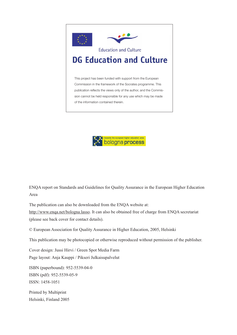

This project has been funded with support from the European Commission in the framework of the Socrates programme. This publication reflects the views only of the author, and the Commission cannot be held responsible for any use which may be made of the information contained therein.



ENQA report on Standards and Guidelines for Quality Assurance in the European Higher Education Area

The publication can also be downloaded from the ENQA website at: http://www.enqa.net/bologna.lasso. It can also be obtained free of charge from ENQA secretariat (please see back cover for contact details).

© European Association for Quality Assurance in Higher Education, 2005, Helsinki

This publication may be photocopied or otherwise reproduced without permission of the publisher.

Cover design: Jussi Hirvi / Green Spot Media Farm Page layout: Anja Kauppi / Pikseri Julkaisupalvelut

ISBN (paperbound): 952-5539-04-0 ISBN (pdf): 952-5539-05-9 ISSN: 1458-1051

Printed by Multiprint Helsinki, Finland 2005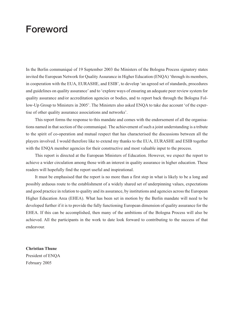# **Foreword**

In the Berlin communiqué of 19 September 2003 the Ministers of the Bologna Process signatory states invited the European Network for Quality Assurance in Higher Education (ENQA) 'through its members, in cooperation with the EUA, EURASHE, and ESIB', to develop 'an agreed set of standards, procedures and guidelines on quality assurance' and to 'explore ways of ensuring an adequate peer review system for quality assurance and/or accreditation agencies or bodies, and to report back through the Bologna Follow-Up Group to Ministers in 2005'. The Ministers also asked ENQA to take due account 'of the expertise of other quality assurance associations and networks'.

This report forms the response to this mandate and comes with the endorsement of all the organisations named in that section of the communiqué. The achievement of such a joint understanding is a tribute to the spirit of co-operation and mutual respect that has characterised the discussions between all the players involved. I would therefore like to extend my thanks to the EUA, EURASHE and ESIB together with the ENQA member agencies for their constructive and most valuable input to the process.

This report is directed at the European Ministers of Education. However, we expect the report to achieve a wider circulation among those with an interest in quality assurance in higher education. These readers will hopefully find the report useful and inspirational.

It must be emphasised that the report is no more than a first step in what is likely to be a long and possibly arduous route to the establishment of a widely shared set of underpinning values, expectations and good practice in relation to quality and its assurance, by institutions and agencies across the European Higher Education Area (EHEA). What has been set in motion by the Berlin mandate will need to be developed further if it is to provide the fully functioning European dimension of quality assurance for the EHEA. If this can be accomplished, then many of the ambitions of the Bologna Process will also be achieved. All the participants in the work to date look forward to contributing to the success of that endeavour.

**Christian Thune** President of ENQA February 2005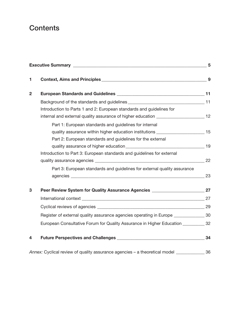# **Contents**

| 1              |                                                                                               |    |  |  |  |
|----------------|-----------------------------------------------------------------------------------------------|----|--|--|--|
| $\overline{2}$ |                                                                                               |    |  |  |  |
|                |                                                                                               |    |  |  |  |
|                | Introduction to Parts 1 and 2: European standards and guidelines for                          |    |  |  |  |
|                | internal and external quality assurance of higher education _________________________12       |    |  |  |  |
|                | Part 1: European standards and guidelines for internal                                        |    |  |  |  |
|                | quality assurance within higher education institutions _________________________ 15           |    |  |  |  |
|                | Part 2: European standards and guidelines for the external                                    |    |  |  |  |
|                |                                                                                               | 19 |  |  |  |
|                | Introduction to Part 3: European standards and guidelines for external                        |    |  |  |  |
|                |                                                                                               | 22 |  |  |  |
|                | Part 3: European standards and guidelines for external quality assurance                      |    |  |  |  |
|                |                                                                                               | 23 |  |  |  |
| 3              | Peer Review System for Quality Assurance Agencies ______________________________ 27           |    |  |  |  |
|                |                                                                                               |    |  |  |  |
|                |                                                                                               |    |  |  |  |
|                | Register of external quality assurance agencies operating in Europe ________________ 30       |    |  |  |  |
|                | European Consultative Forum for Quality Assurance in Higher Education __________ 32           |    |  |  |  |
| 4              |                                                                                               | 34 |  |  |  |
|                | Annex: Cyclical review of quality assurance agencies - a theoretical model _______________ 36 |    |  |  |  |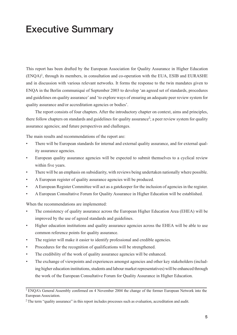# **Executive Summary**

This report has been drafted by the European Association for Quality Assurance in Higher Education (ENQA)1, through its members, in consultation and co-operation with the EUA, ESIB and EURASHE and in discussion with various relevant networks. It forms the response to the twin mandates given to ENQA in the Berlin communiqué of September 2003 to develop 'an agreed set of standards, procedures and guidelines on quality assurance' and 'to explore ways of ensuring an adequate peer review system for quality assurance and/or accreditation agencies or bodies'.

The report consists of four chapters. After the introductory chapter on context, aims and principles, there follow chapters on standards and guidelines for quality assurance<sup>2</sup>; a peer review system for quality assurance agencies; and future perspectives and challenges.

The main results and recommendations of the report are:

- There will be European standards for internal and external quality assurance, and for external quality assurance agencies.
- European quality assurance agencies will be expected to submit themselves to a cyclical review within five years.
- There will be an emphasis on subsidiarity, with reviews being undertaken nationally where possible.
- A European register of quality assurance agencies will be produced.
- A European Register Committee will act as a gatekeeper for the inclusion of agencies in the register.
- A European Consultative Forum for Quality Assurance in Higher Education will be established.

When the recommendations are implemented:

- The consistency of quality assurance across the European Higher Education Area (EHEA) will be improved by the use of agreed standards and guidelines.
- Higher education institutions and quality assurance agencies across the EHEA will be able to use common reference points for quality assurance.
- The register will make it easier to identify professional and credible agencies.
- Procedures for the recognition of qualifications will be strengthened.
- The credibility of the work of quality assurance agencies will be enhanced.
- The exchange of viewpoints and experiences amongst agencies and other key stakeholders (including higher education institutions, students and labour market representatives) will be enhanced through the work of the European Consultative Forum for Quality Assurance in Higher Education.

<sup>&</sup>lt;sup>1</sup> ENQA's General Assembly confirmed on 4 November 2004 the change of the former European Network into the European Association.

<sup>2</sup> The term "quality assurance" in this report includes processes such as evaluation, accreditation and audit.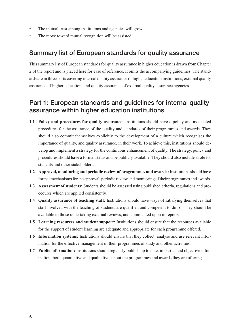- The mutual trust among institutions and agencies will grow.
- The move toward mutual recognition will be assisted.

# **Summary list of European standards for quality assurance**

This summary list of European standards for quality assurance in higher education is drawn from Chapter 2 of the report and is placed here for ease of reference. It omits the accompanying guidelines. The standards are in three parts covering internal quality assurance of higher education institutions, external quality assurance of higher education, and quality assurance of external quality assurance agencies.

# **Part 1: European standards and guidelines for internal quality assurance within higher education institutions**

- **1.1 Policy and procedures for quality assurance:** Institutions should have a policy and associated procedures for the assurance of the quality and standards of their programmes and awards. They should also commit themselves explicitly to the development of a culture which recognises the importance of quality, and quality assurance, in their work. To achieve this, institutions should develop and implement a strategy for the continuous enhancement of quality. The strategy, policy and procedures should have a formal status and be publicly available. They should also include a role for students and other stakeholders.
- **1.2 Approval, monitoring and periodic review of programmes and awards:** Institutions should have formal mechanisms for the approval, periodic review and monitoring of their programmes and awards.
- **1.3 Assessment of students:** Students should be assessed using published criteria, regulations and procedures which are applied consistently.
- **1.4 Quality assurance of teaching staff:** Institutions should have ways of satisfying themselves that staff involved with the teaching of students are qualified and competent to do so. They should be available to those undertaking external reviews, and commented upon in reports.
- **1.5 Learning resources and student support:** Institutions should ensure that the resources available for the support of student learning are adequate and appropriate for each programme offered.
- **1.6 Information systems:** Institutions should ensure that they collect, analyse and use relevant information for the effective management of their programmes of study and other activities.
- **1.7 Public information:** Institutions should regularly publish up to date, impartial and objective information, both quantitative and qualitative, about the programmes and awards they are offering.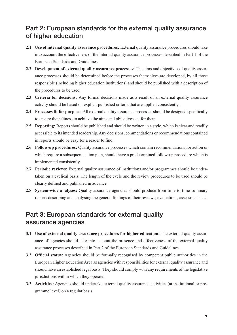# **Part 2: European standards for the external quality assurance of higher education**

- **2.1 Use of internal quality assurance procedures:** External quality assurance procedures should take into account the effectiveness of the internal quality assurance processes described in Part 1 of the European Standards and Guidelines.
- **2.2 Development of external quality assurance processes:** The aims and objectives of quality assurance processes should be determined before the processes themselves are developed, by all those responsible (including higher education institutions) and should be published with a description of the procedures to be used.
- **2.3 Criteria for decisions:** Any formal decisions made as a result of an external quality assurance activity should be based on explicit published criteria that are applied consistently.
- **2.4 Processes fit for purpose:** All external quality assurance processes should be designed specifically to ensure their fitness to achieve the aims and objectives set for them.
- **2.5 Reporting:** Reports should be published and should be written in a style, which is clear and readily accessible to its intended readership. Any decisions, commendations or recommendations contained in reports should be easy for a reader to find.
- **2.6 Follow-up procedures:** Quality assurance processes which contain recommendations for action or which require a subsequent action plan, should have a predetermined follow-up procedure which is implemented consistently.
- **2.7 Periodic reviews:** External quality assurance of institutions and/or programmes should be undertaken on a cyclical basis. The length of the cycle and the review procedures to be used should be clearly defined and published in advance.
- **2.8 System-wide analyses:** Quality assurance agencies should produce from time to time summary reports describing and analysing the general findings of their reviews, evaluations, assessments etc.

# **Part 3: European standards for external quality assurance agencies**

- **3.1 Use of external quality assurance procedures for higher education:** The external quality assurance of agencies should take into account the presence and effectiveness of the external quality assurance processes described in Part 2 of the European Standards and Guidelines.
- **3.2 Official status:** Agencies should be formally recognised by competent public authorities in the European Higher Education Area as agencies with responsibilities for external quality assurance and should have an established legal basis. They should comply with any requirements of the legislative jurisdictions within which they operate.
- **3.3 Activities:** Agencies should undertake external quality assurance activities (at institutional or programme level) on a regular basis.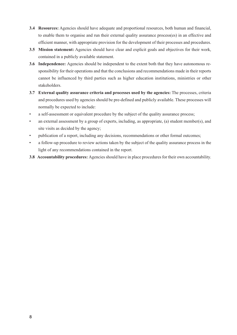- **3.4 Resources:** Agencies should have adequate and proportional resources, both human and financial, to enable them to organise and run their external quality assurance process(es) in an effective and efficient manner, with appropriate provision for the development of their processes and procedures.
- **3.5 Mission statement:** Agencies should have clear and explicit goals and objectives for their work, contained in a publicly available statement.
- **3.6 Independence:** Agencies should be independent to the extent both that they have autonomous responsibility for their operations and that the conclusions and recommendations made in their reports cannot be influenced by third parties such as higher education institutions, ministries or other stakeholders.
- **3.7 External quality assurance criteria and processes used by the agencies:** The processes, criteria and procedures used by agencies should be pre-defined and publicly available. These processes will normally be expected to include:
- a self-assessment or equivalent procedure by the subject of the quality assurance process;
- an external assessment by a group of experts, including, as appropriate, (a) student member(s), and site visits as decided by the agency;
- publication of a report, including any decisions, recommendations or other formal outcomes;
- a follow-up procedure to review actions taken by the subject of the quality assurance process in the light of any recommendations contained in the report.
- **3.8 Accountability procedures:** Agencies should have in place procedures for their own accountability.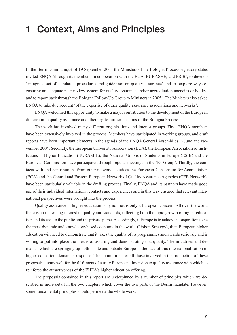# **1 Context, Aims and Principles**

In the Berlin communiqué of 19 September 2003 the Ministers of the Bologna Process signatory states invited ENQA 'through its members, in cooperation with the EUA, EURASHE, and ESIB', to develop 'an agreed set of standards, procedures and guidelines on quality assurance' and to 'explore ways of ensuring an adequate peer review system for quality assurance and/or accreditation agencies or bodies, and to report back through the Bologna Follow-Up Group to Ministers in 2005'. The Ministers also asked ENQA to take due account 'of the expertise of other quality assurance associations and networks'.

ENQA welcomed this opportunity to make a major contribution to the development of the European dimension in quality assurance and, thereby, to further the aims of the Bologna Process.

The work has involved many different organisations and interest groups. First, ENQA members have been extensively involved in the process. Members have participated in working groups, and draft reports have been important elements in the agenda of the ENQA General Assemblies in June and November 2004. Secondly, the European University Association (EUA), the European Association of Institutions in Higher Education (EURASHE), the National Unions of Students in Europe (ESIB) and the European Commission have participated through regular meetings in the 'E4 Group'. Thirdly, the contacts with and contributions from other networks, such as the European Consortium for Accreditation (ECA) and the Central and Eastern European Network of Quality Assurance Agencies (CEE Network), have been particularly valuable in the drafting process. Finally, ENQA and its partners have made good use of their individual international contacts and experiences and in this way ensured that relevant international perspectives were brought into the process.

Quality assurance in higher education is by no means only a European concern. All over the world there is an increasing interest in quality and standards, reflecting both the rapid growth of higher education and its cost to the public and the private purse. Accordingly, if Europe is to achieve its aspiration to be the most dynamic and knowledge-based economy in the world (Lisbon Strategy), then European higher education will need to demonstrate that it takes the quality of its programmes and awards seriously and is willing to put into place the means of assuring and demonstrating that quality. The initiatives and demands, which are springing up both inside and outside Europe in the face of this internationalisation of higher education, demand a response. The commitment of all those involved in the production of these proposals augurs well for the fulfilment of a truly European dimension to quality assurance with which to reinforce the attractiveness of the EHEA's higher education offering.

The proposals contained in this report are underpinned by a number of principles which are described in more detail in the two chapters which cover the two parts of the Berlin mandate. However, some fundamental principles should permeate the whole work: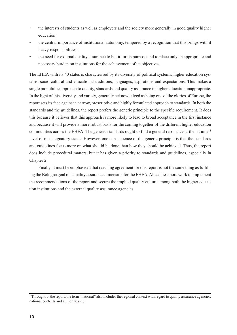- the interests of students as well as employers and the society more generally in good quality higher education;
- the central importance of institutional autonomy, tempered by a recognition that this brings with it heavy responsibilities;
- the need for external quality assurance to be fit for its purpose and to place only an appropriate and necessary burden on institutions for the achievement of its objectives.

The EHEA with its 40 states is characterised by its diversity of political systems, higher education systems, socio-cultural and educational traditions, languages, aspirations and expectations. This makes a single monolithic approach to quality, standards and quality assurance in higher education inappropriate. In the light of this diversity and variety, generally acknowledged as being one of the glories of Europe, the report sets its face against a narrow, prescriptive and highly formulated approach to standards. In both the standards and the guidelines, the report prefers the generic principle to the specific requirement. It does this because it believes that this approach is more likely to lead to broad acceptance in the first instance and because it will provide a more robust basis for the coming together of the different higher education communities across the EHEA. The generic standards ought to find a general resonance at the national<sup>3</sup> level of most signatory states. However, one consequence of the generic principle is that the standards and guidelines focus more on what should be done than how they should be achieved. Thus, the report does include procedural matters, but it has given a priority to standards and guidelines, especially in Chapter 2.

Finally, it must be emphasised that reaching agreement for this report is not the same thing as fulfilling the Bologna goal of a quality assurance dimension for the EHEA. Ahead lies more work to implement the recommendations of the report and secure the implied quality culture among both the higher education institutions and the external quality assurance agencies.

<sup>&</sup>lt;sup>3</sup> Throughout the report, the term "national" also includes the regional context with regard to quality assurance agencies, national contexts and authorities etc.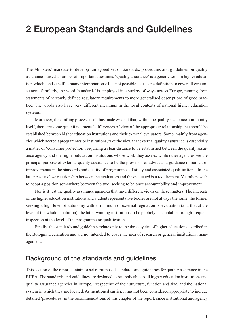# **2 European Standards and Guidelines**

The Ministers' mandate to develop 'an agreed set of standards, procedures and guidelines on quality assurance' raised a number of important questions. 'Quality assurance' is a generic term in higher education which lends itself to many interpretations: It is not possible to use one definition to cover all circumstances. Similarly, the word 'standards' is employed in a variety of ways across Europe, ranging from statements of narrowly defined regulatory requirements to more generalised descriptions of good practice. The words also have very different meanings in the local contexts of national higher education systems.

Moreover, the drafting process itself has made evident that, within the quality assurance community itself, there are some quite fundamental differences of view of the appropriate relationship that should be established between higher education institutions and their external evaluators. Some, mainly from agencies which accredit programmes or institutions, take the view that external quality assurance is essentially a matter of 'consumer protection', requiring a clear distance to be established between the quality assurance agency and the higher education institutions whose work they assess, while other agencies see the principal purpose of external quality assurance to be the provision of advice and guidance in pursuit of improvements in the standards and quality of programmes of study and associated qualifications. In the latter case a close relationship between the evaluators and the evaluated is a requirement. Yet others wish to adopt a position somewhere between the two, seeking to balance accountability and improvement.

Nor is it just the quality assurance agencies that have different views on these matters. The interests of the higher education institutions and student representative bodies are not always the same, the former seeking a high level of autonomy with a minimum of external regulation or evaluation (and that at the level of the whole institution), the latter wanting institutions to be publicly accountable through frequent inspection at the level of the programme or qualification.

Finally, the standards and guidelines relate only to the three cycles of higher education described in the Bologna Declaration and are not intended to cover the area of research or general institutional management.

# **Background of the standards and guidelines**

This section of the report contains a set of proposed standards and guidelines for quality assurance in the EHEA. The standards and guidelines are designed to be applicable to all higher education institutions and quality assurance agencies in Europe, irrespective of their structure, function and size, and the national system in which they are located. As mentioned earlier, it has not been considered appropriate to include detailed 'procedures' in the recommendations of this chapter of the report, since institutional and agency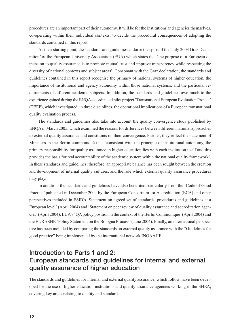procedures are an important part of their autonomy. It will be for the institutions and agencies themselves, co-operating within their individual contexts, to decide the procedural consequences of adopting the standards contained in this report.

As their starting point, the standards and guidelines endorse the spirit of the 'July 2003 Graz Declaration' of the European University Association (EUA) which states that 'the purpose of a European dimension to quality assurance is to promote mutual trust and improve transparency while respecting the diversity of national contexts and subject areas'. Consonant with the Graz declaration, the standards and guidelines contained in this report recognise the primacy of national systems of higher education, the importance of institutional and agency autonomy within those national systems, and the particular requirements of different academic subjects. In addition, the standards and guidelines owe much to the experience gained during the ENQA-coordinated pilot project 'Transnational European Evaluation Project' (TEEP), which investigated, in three disciplines, the operational implications of a European transnational quality evaluation process.

The standards and guidelines also take into account the quality convergence study published by ENQA in March 2005, which examined the reasons for differences between different national approaches to external quality assurance and constraints on their convergence. Further, they reflect the statement of Ministers in the Berlin communiqué that 'consistent with the principle of institutional autonomy, the primary responsibility for quality assurance in higher education lies with each institution itself and this provides the basis for real accountability of the academic system within the national quality framework'. In these standards and guidelines, therefore, an appropriate balance has been sought between the creation and development of internal quality cultures, and the role which external quality assurance procedures may play.

In addition, the standards and guidelines have also benefited particularly from the 'Code of Good Practice' published in December 2004 by the European Consortium for Accreditation (ECA) and other perspectives included in ESIB's 'Statement on agreed set of standards, procedures and guidelines at a European level' (April 2004) and 'Statement on peer review of quality assurance and accreditation agencies' (April 2004), EUA's 'QA policy position in the context of the Berlin Communiqué' (April 2004) and the EURASHE 'Policy Statement on the Bologna Process' (June 2004). Finally, an international perspective has been included by comparing the standards on external quality assurance with the "Guidelines for good practice" being implemented by the international network INQAAHE.

# **Introduction to Parts 1 and 2: European standards and guidelines for internal and external quality assurance of higher education**

The standards and guidelines for internal and external quality assurance, which follow, have been developed for the use of higher education institutions and quality assurance agencies working in the EHEA, covering key areas relating to quality and standards.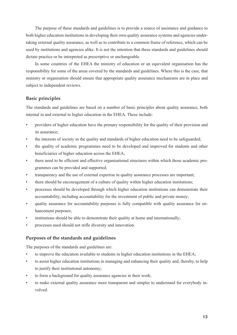The purpose of these standards and guidelines is to provide a source of assistance and guidance to both higher education institutions in developing their own quality assurance systems and agencies undertaking external quality assurance, as well as to contribute to a common frame of reference, which can be used by institutions and agencies alike. It is not the intention that these standards and guidelines should dictate practice or be interpreted as prescriptive or unchangeable.

In some countries of the EHEA the ministry of education or an equivalent organisation has the responsibility for some of the areas covered by the standards and guidelines. Where this is the case, that ministry or organisation should ensure that appropriate quality assurance mechanisms are in place and subject to independent reviews.

## **Basic principles**

The standards and guidelines are based on a number of basic principles about quality assurance, both internal in and external to higher education in the EHEA. These include:

- providers of higher education have the primary responsibility for the quality of their provision and its assurance;
- the interests of society in the quality and standards of higher education need to be safeguarded;
- the quality of academic programmes need to be developed and improved for students and other beneficiaries of higher education across the EHEA;
- there need to be efficient and effective organisational structures within which those academic programmes can be provided and supported;
- transparency and the use of external expertise in quality assurance processes are important;
- there should be encouragement of a culture of quality within higher education institutions;
- processes should be developed through which higher education institutions can demonstrate their accountability, including accountability for the investment of public and private money;
- quality assurance for accountability purposes is fully compatible with quality assurance for enhancement purposes;
- institutions should be able to demonstrate their quality at home and internationally;
- processes used should not stifle diversity and innovation.

### **Purposes of the standards and guidelines**

The purposes of the standards and guidelines are:

- to improve the education available to students in higher education institutions in the EHEA;
- to assist higher education institutions in managing and enhancing their quality and, thereby, to help to justify their institutional autonomy;
- to form a background for quality assurance agencies in their work;
- to make external quality assurance more transparent and simpler to understand for everybody involved.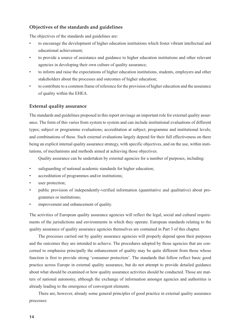# **Objectives of the standards and guidelines**

The objectives of the standards and guidelines are:

- to encourage the development of higher education institutions which foster vibrant intellectual and educational achievement;
- to provide a source of assistance and guidance to higher education institutions and other relevant agencies in developing their own culture of quality assurance;
- to inform and raise the expectations of higher education institutions, students, employers and other stakeholders about the processes and outcomes of higher education;
- to contribute to a common frame of reference for the provision of higher education and the assurance of quality within the EHEA.

# **External quality assurance**

The standards and guidelines proposed in this report envisage an important role for external quality assurance. The form of this varies from system to system and can include institutional evaluations of different types; subject or programme evaluations; accreditation at subject, programme and institutional levels; and combinations of these. Such external evaluations largely depend for their full effectiveness on there being an explicit internal quality assurance strategy, with specific objectives, and on the use, within institutions, of mechanisms and methods aimed at achieving those objectives.

Quality assurance can be undertaken by external agencies for a number of purposes, including:

- safeguarding of national academic standards for higher education;
- accreditation of programmes and/or institutions;
- user protection;
- public provision of independently-verified information (quantitative and qualitative) about programmes or institutions;
- improvement and enhancement of quality.

The activities of European quality assurance agencies will reflect the legal, social and cultural requirements of the jurisdictions and environments in which they operate. European standards relating to the quality assurance of quality assurance agencies themselves are contained in Part 3 of this chapter.

The processes carried out by quality assurance agencies will properly depend upon their purposes and the outcomes they are intended to achieve. The procedures adopted by those agencies that are concerned to emphasise principally the enhancement of quality may be quite different from those whose function is first to provide strong 'consumer protection'. The standards that follow reflect basic good practice across Europe in external quality assurance, but do not attempt to provide detailed guidance about what should be examined or how quality assurance activities should be conducted. Those are matters of national autonomy, although the exchange of information amongst agencies and authorities is already leading to the emergence of convergent elements.

There are, however, already some general principles of good practice in external quality assurance processes: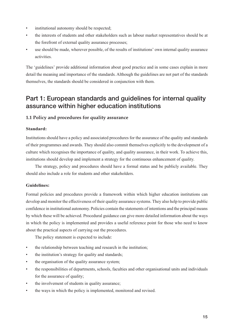- institutional autonomy should be respected;
- the interests of students and other stakeholders such as labour market representatives should be at the forefront of external quality assurance processes;
- use should be made, wherever possible, of the results of institutions' own internal quality assurance activities.

The 'guidelines' provide additional information about good practice and in some cases explain in more detail the meaning and importance of the standards. Although the guidelines are not part of the standards themselves, the standards should be considered in conjunction with them.

# **Part 1: European standards and guidelines for internal quality assurance within higher education institutions**

# **1.1 Policy and procedures for quality assurance**

## **Standard:**

Institutions should have a policy and associated procedures for the assurance of the quality and standards of their programmes and awards. They should also commit themselves explicitly to the development of a culture which recognises the importance of quality, and quality assurance, in their work. To achieve this, institutions should develop and implement a strategy for the continuous enhancement of quality.

The strategy, policy and procedures should have a formal status and be publicly available. They should also include a role for students and other stakeholders.

### **Guidelines:**

Formal policies and procedures provide a framework within which higher education institutions can develop and monitor the effectiveness of their quality assurance systems. They also help to provide public confidence in institutional autonomy. Policies contain the statements of intentions and the principal means by which these will be achieved. Procedural guidance can give more detailed information about the ways in which the policy is implemented and provides a useful reference point for those who need to know about the practical aspects of carrying out the procedures.

The policy statement is expected to include:

- the relationship between teaching and research in the institution;
- the institution's strategy for quality and standards;
- the organisation of the quality assurance system;
- the responsibilities of departments, schools, faculties and other organisational units and individuals for the assurance of quality;
- the involvement of students in quality assurance;
- the ways in which the policy is implemented, monitored and revised.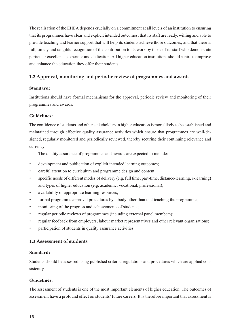The realisation of the EHEA depends crucially on a commitment at all levels of an institution to ensuring that its programmes have clear and explicit intended outcomes; that its staff are ready, willing and able to provide teaching and learner support that will help its students achieve those outcomes; and that there is full, timely and tangible recognition of the contribution to its work by those of its staff who demonstrate particular excellence, expertise and dedication. All higher education institutions should aspire to improve and enhance the education they offer their students.

# **1.2 Approval, monitoring and periodic review of programmes and awards**

# **Standard:**

Institutions should have formal mechanisms for the approval, periodic review and monitoring of their programmes and awards.

# **Guidelines:**

The confidence of students and other stakeholders in higher education is more likely to be established and maintained through effective quality assurance activities which ensure that programmes are well-designed, regularly monitored and periodically reviewed, thereby securing their continuing relevance and currency.

The quality assurance of programmes and awards are expected to include:

- development and publication of explicit intended learning outcomes;
- careful attention to curriculum and programme design and content;
- specific needs of different modes of delivery (e.g. full time, part-time, distance-learning, e-learning) and types of higher education (e.g. academic, vocational, professional);
- availability of appropriate learning resources;
- formal programme approval procedures by a body other than that teaching the programme;
- monitoring of the progress and achievements of students;
- regular periodic reviews of programmes (including external panel members);
- regular feedback from employers, labour market representatives and other relevant organisations;
- participation of students in quality assurance activities.

# **1.3 Assessment of students**

## **Standard:**

Students should be assessed using published criteria, regulations and procedures which are applied consistently.

## **Guidelines:**

The assessment of students is one of the most important elements of higher education. The outcomes of assessment have a profound effect on students' future careers. It is therefore important that assessment is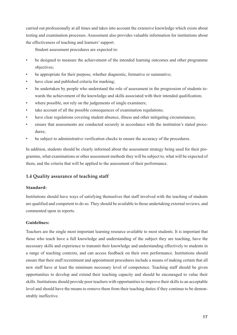carried out professionally at all times and takes into account the extensive knowledge which exists about testing and examination processes. Assessment also provides valuable information for institutions about the effectiveness of teaching and learners' support.

Student assessment procedures are expected to:

- be designed to measure the achievement of the intended learning outcomes and other programme objectives;
- be appropriate for their purpose, whether diagnostic, formative or summative;
- have clear and published criteria for marking;
- be undertaken by people who understand the role of assessment in the progression of students towards the achievement of the knowledge and skills associated with their intended qualification;
- where possible, not rely on the judgements of single examiners;
- take account of all the possible consequences of examination regulations;
- have clear regulations covering student absence, illness and other mitigating circumstances;
- ensure that assessments are conducted securely in accordance with the institution's stated procedures;
- be subject to administrative verification checks to ensure the accuracy of the procedures.

In addition, students should be clearly informed about the assessment strategy being used for their programme, what examinations or other assessment methods they will be subject to, what will be expected of them, and the criteria that will be applied to the assessment of their performance.

# **1.4 Quality assurance of teaching staff**

### **Standard:**

Institutions should have ways of satisfying themselves that staff involved with the teaching of students are qualified and competent to do so. They should be available to those undertaking external reviews, and commented upon in reports.

### **Guidelines:**

Teachers are the single most important learning resource available to most students. It is important that those who teach have a full knowledge and understanding of the subject they are teaching, have the necessary skills and experience to transmit their knowledge and understanding effectively to students in a range of teaching contexts, and can access feedback on their own performance. Institutions should ensure that their staff recruitment and appointment procedures include a means of making certain that all new staff have at least the minimum necessary level of competence. Teaching staff should be given opportunities to develop and extend their teaching capacity and should be encouraged to value their skills. Institutions should provide poor teachers with opportunities to improve their skills to an acceptable level and should have the means to remove them from their teaching duties if they continue to be demonstrably ineffective.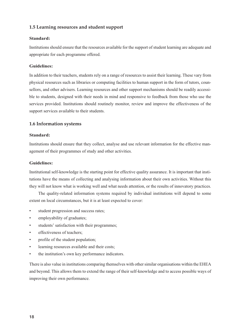# **1.5 Learning resources and student support**

### **Standard:**

Institutions should ensure that the resources available for the support of student learning are adequate and appropriate for each programme offered.

### **Guidelines:**

In addition to their teachers, students rely on a range of resources to assist their learning. These vary from physical resources such as libraries or computing facilities to human support in the form of tutors, counsellors, and other advisers. Learning resources and other support mechanisms should be readily accessible to students, designed with their needs in mind and responsive to feedback from those who use the services provided. Institutions should routinely monitor, review and improve the effectiveness of the support services available to their students.

### **1.6 Information systems**

### **Standard:**

Institutions should ensure that they collect, analyse and use relevant information for the effective management of their programmes of study and other activities.

### **Guidelines:**

Institutional self-knowledge is the starting point for effective quality assurance. It is important that institutions have the means of collecting and analysing information about their own activities. Without this they will not know what is working well and what needs attention, or the results of innovatory practices.

The quality-related information systems required by individual institutions will depend to some extent on local circumstances, but it is at least expected to cover:

- student progression and success rates;
- employability of graduates;
- students' satisfaction with their programmes;
- effectiveness of teachers;
- profile of the student population;
- learning resources available and their costs;
- the institution's own key performance indicators.

There is also value in institutions comparing themselves with other similar organisations within the EHEA and beyond. This allows them to extend the range of their self-knowledge and to access possible ways of improving their own performance.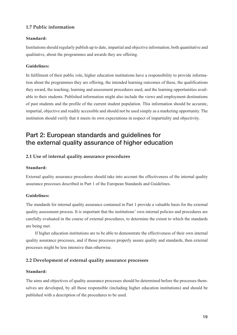# **1.7 Public information**

### **Standard:**

Institutions should regularly publish up to date, impartial and objective information, both quantitative and qualitative, about the programmes and awards they are offering.

### **Guidelines:**

In fulfilment of their public role, higher education institutions have a responsibility to provide information about the programmes they are offering, the intended learning outcomes of these, the qualifications they award, the teaching, learning and assessment procedures used, and the learning opportunities available to their students. Published information might also include the views and employment destinations of past students and the profile of the current student population. This information should be accurate, impartial, objective and readily accessible and should not be used simply as a marketing opportunity. The institution should verify that it meets its own expectations in respect of impartiality and objectivity.

# **Part 2: European standards and guidelines for the external quality assurance of higher education**

# **2.1 Use of internal quality assurance procedures**

### **Standard:**

External quality assurance procedures should take into account the effectiveness of the internal quality assurance processes described in Part 1 of the European Standards and Guidelines.

### **Guidelines:**

The standards for internal quality assurance contained in Part 1 provide a valuable basis for the external quality assessment process. It is important that the institutions' own internal policies and procedures are carefully evaluated in the course of external procedures, to determine the extent to which the standards are being met.

If higher education institutions are to be able to demonstrate the effectiveness of their own internal quality assurance processes, and if those processes properly assure quality and standards, then external processes might be less intensive than otherwise.

## **2.2 Development of external quality assurance processes**

### **Standard:**

The aims and objectives of quality assurance processes should be determined before the processes themselves are developed, by all those responsible (including higher education institutions) and should be published with a description of the procedures to be used.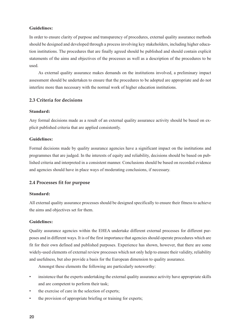### **Guidelines:**

In order to ensure clarity of purpose and transparency of procedures, external quality assurance methods should be designed and developed through a process involving key stakeholders, including higher education institutions. The procedures that are finally agreed should be published and should contain explicit statements of the aims and objectives of the processes as well as a description of the procedures to be used.

As external quality assurance makes demands on the institutions involved, a preliminary impact assessment should be undertaken to ensure that the procedures to be adopted are appropriate and do not interfere more than necessary with the normal work of higher education institutions.

## **2.3 Criteria for decisions**

### **Standard:**

Any formal decisions made as a result of an external quality assurance activity should be based on explicit published criteria that are applied consistently.

## **Guidelines:**

Formal decisions made by quality assurance agencies have a significant impact on the institutions and programmes that are judged. In the interests of equity and reliability, decisions should be based on published criteria and interpreted in a consistent manner. Conclusions should be based on recorded evidence and agencies should have in place ways of moderating conclusions, if necessary.

## **2.4 Processes fit for purpose**

### **Standard:**

All external quality assurance processes should be designed specifically to ensure their fitness to achieve the aims and objectives set for them.

### **Guidelines:**

Quality assurance agencies within the EHEA undertake different external processes for different purposes and in different ways. It is of the first importance that agencies should operate procedures which are fit for their own defined and published purposes. Experience has shown, however, that there are some widely-used elements of external review processes which not only help to ensure their validity, reliability and usefulness, but also provide a basis for the European dimension to quality assurance.

Amongst these elements the following are particularly noteworthy:

- insistence that the experts undertaking the external quality assurance activity have appropriate skills and are competent to perform their task;
- the exercise of care in the selection of experts;
- the provision of appropriate briefing or training for experts;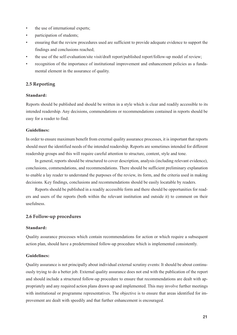- the use of international experts;
- participation of students;
- ensuring that the review procedures used are sufficient to provide adequate evidence to support the findings and conclusions reached;
- the use of the self-evaluation/site visit/draft report/published report/follow-up model of review;
- recognition of the importance of institutional improvement and enhancement policies as a fundamental element in the assurance of quality.

# **2.5 Reporting**

### **Standard:**

Reports should be published and should be written in a style which is clear and readily accessible to its intended readership. Any decisions, commendations or recommendations contained in reports should be easy for a reader to find.

#### **Guidelines:**

In order to ensure maximum benefit from external quality assurance processes, it is important that reports should meet the identified needs of the intended readership. Reports are sometimes intended for different readership groups and this will require careful attention to structure, content, style and tone.

In general, reports should be structured to cover description, analysis (including relevant evidence), conclusions, commendations, and recommendations. There should be sufficient preliminary explanation to enable a lay reader to understand the purposes of the review, its form, and the criteria used in making decisions. Key findings, conclusions and recommendations should be easily locatable by readers.

Reports should be published in a readily accessible form and there should be opportunities for readers and users of the reports (both within the relevant institution and outside it) to comment on their usefulness.

### **2.6 Follow-up procedures**

#### **Standard:**

Quality assurance processes which contain recommendations for action or which require a subsequent action plan, should have a predetermined follow-up procedure which is implemented consistently.

#### **Guidelines:**

Quality assurance is not principally about individual external scrutiny events: It should be about continuously trying to do a better job. External quality assurance does not end with the publication of the report and should include a structured follow-up procedure to ensure that recommendations are dealt with appropriately and any required action plans drawn up and implemented. This may involve further meetings with institutional or programme representatives. The objective is to ensure that areas identified for improvement are dealt with speedily and that further enhancement is encouraged.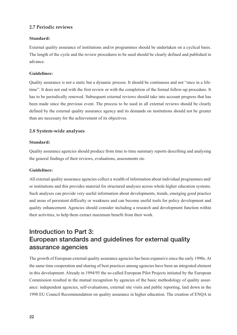# **2.7 Periodic reviews**

# **Standard:**

External quality assurance of institutions and/or programmes should be undertaken on a cyclical basis. The length of the cycle and the review procedures to be used should be clearly defined and published in advance.

# **Guidelines:**

Quality assurance is not a static but a dynamic process. It should be continuous and not "once in a lifetime". It does not end with the first review or with the completion of the formal follow-up procedure. It has to be periodically renewed. Subsequent external reviews should take into account progress that has been made since the previous event. The process to be used in all external reviews should be clearly defined by the external quality assurance agency and its demands on institutions should not be greater than are necessary for the achievement of its objectives.

# **2.8 System-wide analyses**

# **Standard:**

Quality assurance agencies should produce from time to time summary reports describing and analysing the general findings of their reviews, evaluations, assessments etc.

## **Guidelines:**

All external quality assurance agencies collect a wealth of information about individual programmes and/ or institutions and this provides material for structured analyses across whole higher education systems. Such analyses can provide very useful information about developments, trends, emerging good practice and areas of persistent difficulty or weakness and can become useful tools for policy development and quality enhancement. Agencies should consider including a research and development function within their activities, to help them extract maximum benefit from their work.

# **Introduction to Part 3: European standards and guidelines for external quality assurance agencies**

The growth of European external quality assurance agencies has been expansive since the early 1990s. At the same time cooperation and sharing of best practices among agencies have been an integrated element in this development. Already in 1994/95 the so-called European Pilot Projects initiated by the European Commission resulted in the mutual recognition by agencies of the basic methodology of quality assurance: independent agencies, self-evaluations, external site visits and public reporting, laid down in the 1998 EU Council Recommendation on quality assurance in higher education. The creation of ENQA in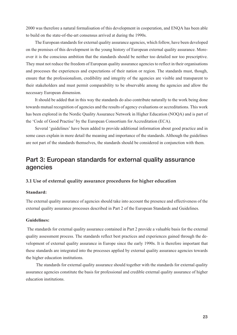2000 was therefore a natural formalisation of this development in cooperation, and ENQA has been able to build on the state-of-the-art consensus arrived at during the 1990s.

The European standards for external quality assurance agencies, which follow, have been developed on the premises of this development in the young history of European external quality assurance. Moreover it is the conscious ambition that the standards should be neither too detailed nor too prescriptive. They must not reduce the freedom of European quality assurance agencies to reflect in their organisations and processes the experiences and expectations of their nation or region. The standards must, though, ensure that the professionalism, credibility and integrity of the agencies are visible and transparent to their stakeholders and must permit comparability to be observable among the agencies and allow the necessary European dimension.

It should be added that in this way the standards do also contribute naturally to the work being done towards mutual recognition of agencies and the results of agency evaluations or accreditations. This work has been explored in the Nordic Quality Assurance Network in Higher Education (NOQA) and is part of the 'Code of Good Practise' by the European Consortium for Accreditation (ECA).

Several 'guidelines' have been added to provide additional information about good practice and in some cases explain in more detail the meaning and importance of the standards. Although the guidelines are not part of the standards themselves, the standards should be considered in conjunction with them.

# **Part 3: European standards for external quality assurance agencies**

### **3.1 Use of external quality assurance procedures for higher education**

#### **Standard:**

The external quality assurance of agencies should take into account the presence and effectiveness of the external quality assurance processes described in Part 2 of the European Standards and Guidelines.

### **Guidelines:**

 The standards for external quality assurance contained in Part 2 provide a valuable basis for the external quality assessment process. The standards reflect best practices and experiences gained through the development of external quality assurance in Europe since the early 1990s. It is therefore important that these standards are integrated into the processes applied by external quality assurance agencies towards the higher education institutions.

 The standards for external quality assurance should together with the standards for external quality assurance agencies constitute the basis for professional and credible external quality assurance of higher education institutions.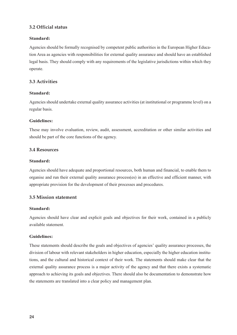# **3.2 Official status**

### **Standard:**

Agencies should be formally recognised by competent public authorities in the European Higher Education Area as agencies with responsibilities for external quality assurance and should have an established legal basis. They should comply with any requirements of the legislative jurisdictions within which they operate.

## **3.3 Activities**

### **Standard:**

Agencies should undertake external quality assurance activities (at institutional or programme level) on a regular basis.

### **Guidelines:**

These may involve evaluation, review, audit, assessment, accreditation or other similar activities and should be part of the core functions of the agency.

## **3.4 Resources**

### **Standard:**

Agencies should have adequate and proportional resources, both human and financial, to enable them to organise and run their external quality assurance process(es) in an effective and efficient manner, with appropriate provision for the development of their processes and procedures.

## **3.5 Mission statement**

### **Standard:**

Agencies should have clear and explicit goals and objectives for their work, contained in a publicly available statement.

### **Guidelines:**

These statements should describe the goals and objectives of agencies' quality assurance processes, the division of labour with relevant stakeholders in higher education, especially the higher education institutions, and the cultural and historical context of their work. The statements should make clear that the external quality assurance process is a major activity of the agency and that there exists a systematic approach to achieving its goals and objectives. There should also be documentation to demonstrate how the statements are translated into a clear policy and management plan.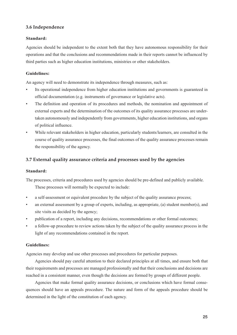# **3.6 Independence**

### **Standard:**

Agencies should be independent to the extent both that they have autonomous responsibility for their operations and that the conclusions and recommendations made in their reports cannot be influenced by third parties such as higher education institutions, ministries or other stakeholders.

### **Guidelines:**

An agency will need to demonstrate its independence through measures, such as:

- Its operational independence from higher education institutions and governments is guaranteed in official documentation (e.g. instruments of governance or legislative acts).
- The definition and operation of its procedures and methods, the nomination and appointment of external experts and the determination of the outcomes of its quality assurance processes are undertaken autonomously and independently from governments, higher education institutions, and organs of political influence.
- While relevant stakeholders in higher education, particularly students/learners, are consulted in the course of quality assurance processes, the final outcomes of the quality assurance processes remain the responsibility of the agency.

# **3.7 External quality assurance criteria and processes used by the agencies**

### **Standard:**

The processes, criteria and procedures used by agencies should be pre-defined and publicly available. These processes will normally be expected to include:

- a self-assessment or equivalent procedure by the subject of the quality assurance process;
- an external assessment by a group of experts, including, as appropriate, (a) student member(s), and site visits as decided by the agency;
- publication of a report, including any decisions, recommendations or other formal outcomes;
- a follow-up procedure to review actions taken by the subject of the quality assurance process in the light of any recommendations contained in the report.

## **Guidelines:**

Agencies may develop and use other processes and procedures for particular purposes.

Agencies should pay careful attention to their declared principles at all times, and ensure both that their requirements and processes are managed professionally and that their conclusions and decisions are reached in a consistent manner, even though the decisions are formed by groups of different people.

Agencies that make formal quality assurance decisions, or conclusions which have formal consequences should have an appeals procedure. The nature and form of the appeals procedure should be determined in the light of the constitution of each agency.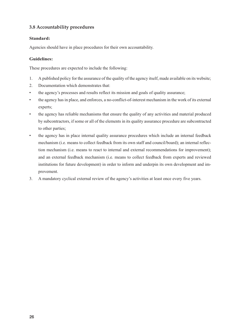# **3.8 Accountability procedures**

# **Standard:**

Agencies should have in place procedures for their own accountability.

# **Guidelines:**

These procedures are expected to include the following:

- 1. A published policy for the assurance of the quality of the agency itself, made available on its website;
- 2. Documentation which demonstrates that:
- the agency's processes and results reflect its mission and goals of quality assurance;
- the agency has in place, and enforces, a no-conflict-of-interest mechanism in the work of its external experts;
- the agency has reliable mechanisms that ensure the quality of any activities and material produced by subcontractors, if some or all of the elements in its quality assurance procedure are subcontracted to other parties;
- the agency has in place internal quality assurance procedures which include an internal feedback mechanism (i.e. means to collect feedback from its own staff and council/board); an internal reflection mechanism (i.e. means to react to internal and external recommendations for improvement); and an external feedback mechanism (i.e. means to collect feedback from experts and reviewed institutions for future development) in order to inform and underpin its own development and improvement.
- 3. A mandatory cyclical external review of the agency's activities at least once every five years.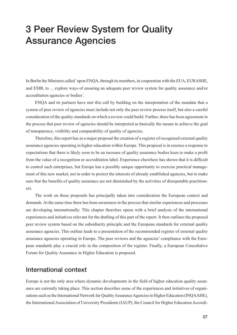# **3 Peer Review System for Quality Assurance Agencies**

In Berlin the Ministers called 'upon ENQA, through its members, in cooperation with the EUA, EURASHE, and ESIB, to ... explore ways of ensuring an adequate peer review system for quality assurance and/or accreditation agencies or bodies'.

ENQA and its partners have met this call by building on the interpretation of the mandate that a system of peer review of agencies must include not only the peer review process itself, but also a careful consideration of the quality standards on which a review could build. Further, there has been agreement in the process that peer review of agencies should be interpreted as basically the means to achieve the goal of transparency, visibility and comparability of quality of agencies.

Therefore, this report has as a major proposal the creation of a register of recognised external quality assurance agencies operating in higher education within Europe. This proposal is in essence a response to expectations that there is likely soon to be an increase of quality assurance bodies keen to make a profit from the value of a recognition or accreditation label. Experience elsewhere has shown that it is difficult to control such enterprises, but Europe has a possibly unique opportunity to exercise practical management of this new market, not in order to protect the interests of already established agencies, but to make sure that the benefits of quality assurance are not diminished by the activities of disreputable practitioners.

The work on these proposals has principally taken into consideration the European context and demands. At the same time there has been awareness in the process that similar experiences and processes are developing internationally. This chapter therefore opens with a brief analysis of the international experiences and initiatives relevant for the drafting of this part of the report. It then outlines the proposed peer review system based on the subsidiarity principle and the European standards for external quality assurance agencies. This outline leads to a presentation of the recommended register of external quality assurance agencies operating in Europe. The peer reviews and the agencies' compliance with the European standards play a crucial role in the composition of the register. Finally, a European Consultative Forum for Quality Assurance in Higher Education is proposed.

# **International context**

Europe is not the only area where dynamic developments in the field of higher education quality assurance are currently taking place. This section describes some of the experiences and initiatives of organisations such as the International Network for Quality Assurance Agencies in Higher Education (INQAAHE), the International Association of University Presidents (IAUP), the Council for Higher Education Accredi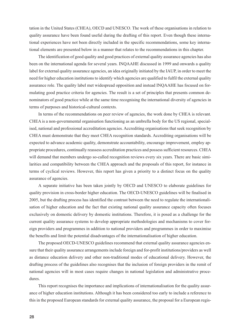tation in the United States (CHEA), OECD and UNESCO. The work of these organisations in relation to quality assurance have been found useful during the drafting of this report. Even though these international experiences have not been directly included in the specific recommendations, some key international elements are presented below in a manner that relates to the recommendations in this chapter.

The identification of good quality and good practices of external quality assurance agencies has also been on the international agenda for several years. INQAAHE discussed in 1999 and onwards a quality label for external quality assurance agencies, an idea originally initiated by the IAUP, in order to meet the need for higher education institutions to identify which agencies are qualified to fulfil the external quality assurance role. The quality label met widespread opposition and instead INQAAHE has focused on formulating good practice criteria for agencies. The result is a set of principles that presents common denominators of good practice while at the same time recognising the international diversity of agencies in terms of purposes and historical-cultural contexts.

In terms of the recommendations on peer review of agencies, the work done by CHEA is relevant. CHEA is a non-governmental organisation functioning as an umbrella body for the US regional, specialised, national and professional accreditation agencies. Accrediting organisations that seek recognition by CHEA must demonstrate that they meet CHEA recognition standards. Accrediting organisations will be expected to advance academic quality, demonstrate accountability, encourage improvement, employ appropriate procedures, continually reassess accreditation practices and possess sufficient resources. CHEA will demand that members undergo so-called recognition reviews every six years. There are basic similarities and compatibility between the CHEA approach and the proposals of this report, for instance in terms of cyclical reviews. However, this report has given a priority to a distinct focus on the quality assurance of agencies.

A separate initiative has been taken jointly by OECD and UNESCO to elaborate guidelines for quality provision in cross-border higher education. The OECD-UNESCO guidelines will be finalised in 2005, but the drafting process has identified the contrast between the need to regulate the internationalisation of higher education and the fact that existing national quality assurance capacity often focuses exclusively on domestic delivery by domestic institutions. Therefore, it is posed as a challenge for the current quality assurance systems to develop appropriate methodologies and mechanisms to cover foreign providers and programmes in addition to national providers and programmes in order to maximise the benefits and limit the potential disadvantages of the internationalisation of higher education.

The proposed OECD-UNESCO guidelines recommend that external quality assurance agencies ensure that their quality assurance arrangements include foreign and for-profit institutions/providers as well as distance education delivery and other non-traditional modes of educational delivery. However, the drafting process of the guidelines also recognises that the inclusion of foreign providers in the remit of national agencies will in most cases require changes in national legislation and administrative procedures.

This report recognises the importance and implications of internationalisation for the quality assurance of higher education institutions. Although it has been considered too early to include a reference to this in the proposed European standards for external quality assurance, the proposal for a European regis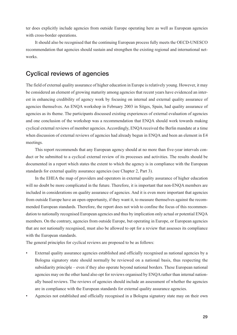ter does explicitly include agencies from outside Europe operating here as well as European agencies with cross-border operations.

It should also be recognised that the continuing European process fully meets the OECD-UNESCO recommendation that agencies should sustain and strengthen the existing regional and international networks.

# **Cyclical reviews of agencies**

The field of external quality assurance of higher education in Europe is relatively young. However, it may be considered an element of growing maturity among agencies that recent years have evidenced an interest in enhancing credibility of agency work by focusing on internal and external quality assurance of agencies themselves. An ENQA workshop in February 2003 in Sitges, Spain, had quality assurance of agencies as its theme. The participants discussed existing experiences of external evaluation of agencies and one conclusion of the workshop was a recommendation that ENQA should work towards making cyclical external reviews of member agencies. Accordingly, ENQA received the Berlin mandate at a time when discussion of external reviews of agencies had already begun in ENOA and been an element in E4 meetings.

This report recommends that any European agency should at no more than five-year intervals conduct or be submitted to a cyclical external review of its processes and activities. The results should be documented in a report which states the extent to which the agency is in compliance with the European standards for external quality assurance agencies (see Chapter 2, Part 3).

In the EHEA the map of providers and operators in external quality assurance of higher education will no doubt be more complicated in the future. Therefore, it is important that non-ENQA members are included in considerations on quality assurance of agencies. And it is even more important that agencies from outside Europe have an open opportunity, if they want it, to measure themselves against the recommended European standards. Therefore, the report does not wish to confine the focus of this recommendation to nationally recognised European agencies and thus by implication only actual or potential ENQA members. On the contrary, agencies from outside Europe, but operating in Europe, or European agencies that are not nationally recognised, must also be allowed to opt for a review that assesses its compliance with the European standards.

The general principles for cyclical reviews are proposed to be as follows:

- External quality assurance agencies established and officially recognised as national agencies by a Bologna signatory state should normally be reviewed on a national basis, thus respecting the subsidiarity principle – even if they also operate beyond national borders. These European national agencies may on the other hand also opt for reviews organised by ENQA rather than internal nationally based reviews. The reviews of agencies should include an assessment of whether the agencies are in compliance with the European standards for external quality assurance agencies.
- Agencies not established and officially recognised in a Bologna signatory state may on their own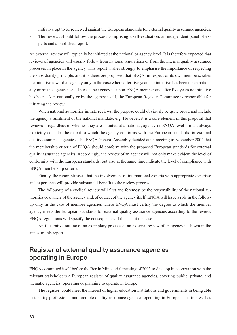initiative opt to be reviewed against the European standards for external quality assurance agencies.

• The reviews should follow the process comprising a self-evaluation, an independent panel of experts and a published report.

An external review will typically be initiated at the national or agency level. It is therefore expected that reviews of agencies will usually follow from national regulations or from the internal quality assurance processes in place in the agency. This report wishes strongly to emphasise the importance of respecting the subsidiarity principle, and it is therefore proposed that ENQA, in respect of its own members, takes the initiative toward an agency only in the case where after five years no initiative has been taken nationally or by the agency itself. In case the agency is a non-ENQA member and after five years no initiative has been taken nationally or by the agency itself, the European Register Committee is responsible for initiating the review.

When national authorities initiate reviews, the purpose could obviously be quite broad and include the agency's fulfilment of the national mandate, e.g. However, it is a core element in this proposal that reviews – regardless of whether they are initiated at a national, agency or ENQA level – must always explicitly consider the extent to which the agency conforms with the European standards for external quality assurance agencies. The ENQA General Assembly decided at its meeting in November 2004 that the membership criteria of ENQA should conform with the proposed European standards for external quality assurance agencies. Accordingly, the review of an agency will not only make evident the level of conformity with the European standards, but also at the same time indicate the level of compliance with ENQA membership criteria.

Finally, the report stresses that the involvement of international experts with appropriate expertise and experience will provide substantial benefit to the review process.

The follow-up of a cyclical review will first and foremost be the responsibility of the national authorities or owners of the agency and, of course, of the agency itself. ENQA will have a role in the followup only in the case of member agencies where ENQA must certify the degree to which the member agency meets the European standards for external quality assurance agencies according to the review. ENQA regulations will specify the consequences if this is not the case.

An illustrative outline of an exemplary process of an external review of an agency is shown in the annex to this report.

# **Register of external quality assurance agencies operating in Europe**

ENQA committed itself before the Berlin Ministerial meeting of 2003 to develop in cooperation with the relevant stakeholders a European register of quality assurance agencies, covering public, private, and thematic agencies, operating or planning to operate in Europe.

The register would meet the interest of higher education institutions and governments in being able to identify professional and credible quality assurance agencies operating in Europe. This interest has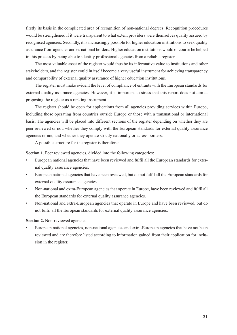firstly its basis in the complicated area of recognition of non-national degrees. Recognition procedures would be strengthened if it were transparent to what extent providers were themselves quality assured by recognised agencies. Secondly, it is increasingly possible for higher education institutions to seek quality assurance from agencies across national borders. Higher education institutions would of course be helped in this process by being able to identify professional agencies from a reliable register.

The most valuable asset of the register would thus be its informative value to institutions and other stakeholders, and the register could in itself become a very useful instrument for achieving transparency and comparability of external quality assurance of higher education institutions.

The register must make evident the level of compliance of entrants with the European standards for external quality assurance agencies. However, it is important to stress that this report does not aim at proposing the register as a ranking instrument.

The register should be open for applications from all agencies providing services within Europe, including those operating from countries outside Europe or those with a transnational or international basis. The agencies will be placed into different sections of the register depending on whether they are peer reviewed or not, whether they comply with the European standards for external quality assurance agencies or not, and whether they operate strictly nationally or across borders.

A possible structure for the register is therefore:

**Section 1.** Peer reviewed agencies, divided into the following categories:

- European national agencies that have been reviewed and fulfil all the European standards for external quality assurance agencies.
- European national agencies that have been reviewed, but do not fulfil all the European standards for external quality assurance agencies.
- Non-national and extra-European agencies that operate in Europe, have been reviewed and fulfil all the European standards for external quality assurance agencies.
- Non-national and extra-European agencies that operate in Europe and have been reviewed, but do not fulfil all the European standards for external quality assurance agencies.

#### **Section 2.** Non-reviewed agencies

• European national agencies, non-national agencies and extra-European agencies that have not been reviewed and are therefore listed according to information gained from their application for inclusion in the register.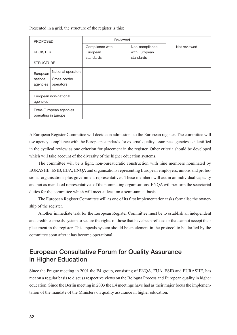Presented in a grid, the structure of the register is this:

| <b>PROPOSED</b>                     |                           | Reviewed                                 |                                              |              |
|-------------------------------------|---------------------------|------------------------------------------|----------------------------------------------|--------------|
| <b>REGISTER</b><br><b>STRUCTURE</b> |                           | Compliance with<br>European<br>standards | Non-compliance<br>with European<br>standards | Not reviewed |
| European                            | National operators        |                                          |                                              |              |
| national<br>agencies                | Cross-border<br>operators |                                          |                                              |              |
| European non-national<br>agencies   |                           |                                          |                                              |              |
| operating in Europe                 | Extra-European agencies   |                                          |                                              |              |

A European Register Committee will decide on admissions to the European register. The committee will use agency compliance with the European standards for external quality assurance agencies as identified in the cyclical review as one criterion for placement in the register. Other criteria should be developed which will take account of the diversity of the higher education systems.

The committee will be a light, non-bureaucratic construction with nine members nominated by EURASHE, ESIB, EUA, ENQA and organisations representing European employers, unions and professional organisations plus government representatives. These members will act in an individual capacity and not as mandated representatives of the nominating organisations. ENQA will perform the secretarial duties for the committee which will meet at least on a semi-annual basis.

The European Register Committee will as one of its first implementation tasks formalise the ownership of the register.

Another immediate task for the European Register Committee must be to establish an independent and credible appeals system to secure the rights of those that have been refused or that cannot accept their placement in the register. This appeals system should be an element in the protocol to be drafted by the committee soon after it has become operational.

# **European Consultative Forum for Quality Assurance in Higher Education**

Since the Prague meeting in 2001 the E4 group, consisting of ENQA, EUA, ESIB and EURASHE, has met on a regular basis to discuss respective views on the Bologna Process and European quality in higher education. Since the Berlin meeting in 2003 the E4 meetings have had as their major focus the implementation of the mandate of the Ministers on quality assurance in higher education.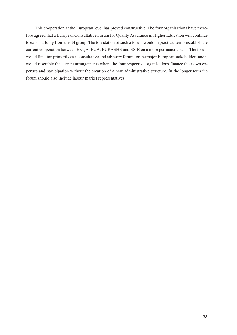This cooperation at the European level has proved constructive. The four organisations have therefore agreed that a European Consultative Forum for Quality Assurance in Higher Education will continue to exist building from the E4 group. The foundation of such a forum would in practical terms establish the current cooperation between ENQA, EUA, EURASHE and ESIB on a more permanent basis. The forum would function primarily as a consultative and advisory forum for the major European stakeholders and it would resemble the current arrangements where the four respective organisations finance their own expenses and participation without the creation of a new administrative structure. In the longer term the forum should also include labour market representatives.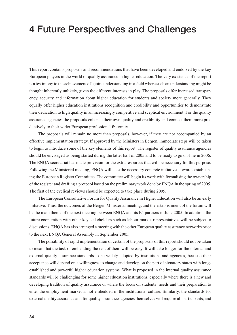# **4 Future Perspectives and Challenges**

This report contains proposals and recommendations that have been developed and endorsed by the key European players in the world of quality assurance in higher education. The very existence of the report is a testimony to the achievement of a joint understanding in a field where such an understanding might be thought inherently unlikely, given the different interests in play. The proposals offer increased transparency, security and information about higher education for students and society more generally. They equally offer higher education institutions recognition and credibility and opportunities to demonstrate their dedication to high quality in an increasingly competitive and sceptical environment. For the quality assurance agencies the proposals enhance their own quality and credibility and connect them more productively to their wider European professional fraternity.

The proposals will remain no more than proposals, however, if they are not accompanied by an effective implementation strategy. If approved by the Ministers in Bergen, immediate steps will be taken to begin to introduce some of the key elements of this report. The register of quality assurance agencies should be envisaged as being started during the latter half of 2005 and to be ready to go on-line in 2006. The ENQA secretariat has made provision for the extra resources that will be necessary for this purpose. Following the Ministerial meeting, ENQA will take the necessary concrete initiatives towards establishing the European Register Committee. The committee will begin its work with formalising the ownership of the register and drafting a protocol based on the preliminary work done by ENQA in the spring of 2005. The first of the cyclical reviews should be expected to take place during 2005.

The European Consultative Forum for Quality Assurance in Higher Education will also be an early initiative. Thus, the outcomes of the Bergen Ministerial meeting, and the establishment of the forum will be the main theme of the next meeting between ENQA and its E4 partners in June 2005. In addition, the future cooperation with other key stakeholders such as labour market representatives will be subject to discussions. ENQA has also arranged a meeting with the other European quality assurance networks prior to the next ENQA General Assembly in September 2005.

The possibility of rapid implementation of certain of the proposals of this report should not be taken to mean that the task of embedding the rest of them will be easy. It will take longer for the internal and external quality assurance standards to be widely adopted by institutions and agencies, because their acceptance will depend on a willingness to change and develop on the part of signatory states with longestablished and powerful higher education systems. What is proposed in the internal quality assurance standards will be challenging for some higher education institutions, especially where there is a new and developing tradition of quality assurance or where the focus on students' needs and their preparation to enter the employment market is not embedded in the institutional culture. Similarly, the standards for external quality assurance and for quality assurance agencies themselves will require all participants, and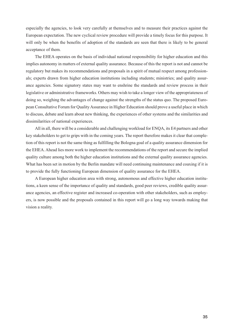especially the agencies, to look very carefully at themselves and to measure their practices against the European expectation. The new cyclical review procedure will provide a timely focus for this purpose. It will only be when the benefits of adoption of the standards are seen that there is likely to be general acceptance of them.

The EHEA operates on the basis of individual national responsibility for higher education and this implies autonomy in matters of external quality assurance. Because of this the report is not and cannot be regulatory but makes its recommendations and proposals in a spirit of mutual respect among professionals; experts drawn from higher education institutions including students; ministries; and quality assurance agencies. Some signatory states may want to enshrine the standards and review process in their legislative or administrative frameworks. Others may wish to take a longer view of the appropriateness of doing so, weighing the advantages of change against the strengths of the status quo. The proposed European Consultative Forum for Quality Assurance in Higher Education should prove a useful place in which to discuss, debate and learn about new thinking, the experiences of other systems and the similarities and dissimilarities of national experiences.

All in all, there will be a considerable and challenging workload for ENQA, its E4 partners and other key stakeholders to get to grips with in the coming years. The report therefore makes it clear that completion of this report is not the same thing as fulfilling the Bologna goal of a quality assurance dimension for the EHEA. Ahead lies more work to implement the recommendations of the report and secure the implied quality culture among both the higher education institutions and the external quality assurance agencies. What has been set in motion by the Berlin mandate will need continuing maintenance and coaxing if it is to provide the fully functioning European dimension of quality assurance for the EHEA.

A European higher education area with strong, autonomous and effective higher education institutions, a keen sense of the importance of quality and standards, good peer reviews, credible quality assurance agencies, an effective register and increased co-operation with other stakeholders, such as employers, is now possible and the proposals contained in this report will go a long way towards making that vision a reality.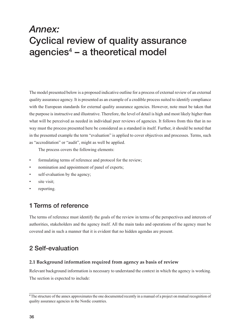# *Annex:* **Cyclical review of quality assurance agencies4 – a theoretical model**

The model presented below is a proposed indicative outline for a process of external review of an external quality assurance agency. It is presented as an example of a credible process suited to identify compliance with the European standards for external quality assurance agencies. However, note must be taken that the purpose is instructive and illustrative. Therefore, the level of detail is high and most likely higher than what will be perceived as needed in individual peer reviews of agencies. It follows from this that in no way must the process presented here be considered as a standard in itself. Further, it should be noted that in the presented example the term "evaluation" is applied to cover objectives and processes. Terms, such as "accreditation" or "audit", might as well be applied.

The process covers the following elements:

- formulating terms of reference and protocol for the review:
- nomination and appointment of panel of experts;
- self-evaluation by the agency;
- site visit:
- reporting.

# **1 Terms of reference**

The terms of reference must identify the goals of the review in terms of the perspectives and interests of authorities, stakeholders and the agency itself. All the main tasks and operations of the agency must be covered and in such a manner that it is evident that no hidden agendas are present.

# **2 Self-evaluation**

## **2.1 Background information required from agency as basis of review**

Relevant background information is necessary to understand the context in which the agency is working. The section is expected to include:

<sup>&</sup>lt;sup>4</sup>The structure of the annex approximates the one documented recently in a manual of a project on mutual recognition of quality assurance agencies in the Nordic countries.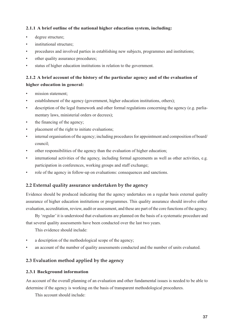# **2.1.1 A brief outline of the national higher education system, including:**

- degree structure;
- institutional structure:
- procedures and involved parties in establishing new subjects, programmes and institutions;
- other quality assurance procedures;
- status of higher education institutions in relation to the government.

# **2.1.2 A brief account of the history of the particular agency and of the evaluation of higher education in general:**

- mission statement;
- establishment of the agency (government, higher education institutions, others);
- description of the legal framework and other formal regulations concerning the agency (e.g. parliamentary laws, ministerial orders or decrees);
- the financing of the agency;
- placement of the right to initiate evaluations;
- internal organisation of the agency; including procedures for appointment and composition of board/ council;
- other responsibilities of the agency than the evaluation of higher education;
- international activities of the agency, including formal agreements as well as other activities, e.g. participation in conferences, working groups and staff exchange;
- role of the agency in follow-up on evaluations: consequences and sanctions.

## **2.2 External quality assurance undertaken by the agency**

Evidence should be produced indicating that the agency undertakes on a regular basis external quality assurance of higher education institutions or programmes. This quality assurance should involve either evaluation, accreditation, review, audit or assessment, and these are part of the core functions of the agency.

By 'regular' it is understood that evaluations are planned on the basis of a systematic procedure and that several quality assessments have been conducted over the last two years.

This evidence should include:

- a description of the methodological scope of the agency;
- an account of the number of quality assessments conducted and the number of units evaluated.

# **2.3 Evaluation method applied by the agency**

## **2.3.1 Background information**

An account of the overall planning of an evaluation and other fundamental issues is needed to be able to determine if the agency is working on the basis of transparent methodological procedures.

This account should include: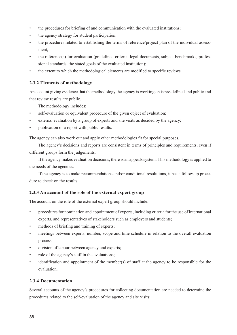- the procedures for briefing of and communication with the evaluated institutions;
- the agency strategy for student participation;
- the procedures related to establishing the terms of reference/project plan of the individual assessment;
- the reference(s) for evaluation (predefined criteria, legal documents, subject benchmarks, professional standards, the stated goals of the evaluated institution);
- the extent to which the methodological elements are modified to specific reviews.

# **2.3.2 Elements of methodology**

An account giving evidence that the methodology the agency is working on is pre-defined and public and that review results are public.

The methodology includes:

- self-evaluation or equivalent procedure of the given object of evaluation;
- external evaluation by a group of experts and site visits as decided by the agency;
- publication of a report with public results.

The agency can also work out and apply other methodologies fit for special purposes.

The agency's decisions and reports are consistent in terms of principles and requirements, even if different groups form the judgements.

If the agency makes evaluation decisions, there is an appeals system. This methodology is applied to the needs of the agencies.

If the agency is to make recommendations and/or conditional resolutions, it has a follow-up procedure to check on the results.

## **2.3.3 An account of the role of the external expert group**

The account on the role of the external expert group should include:

- procedures for nomination and appointment of experts, including criteria for the use of international experts, and representatives of stakeholders such as employers and students;
- methods of briefing and training of experts;
- meetings between experts: number, scope and time schedule in relation to the overall evaluation process;
- division of labour between agency and experts;
- role of the agency's staff in the evaluations;
- identification and appointment of the member(s) of staff at the agency to be responsible for the evaluation.

## **2.3.4 Documentation**

Several accounts of the agency's procedures for collecting documentation are needed to determine the procedures related to the self-evaluation of the agency and site visits: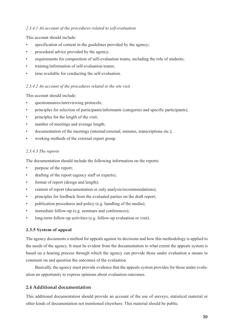### *2.3.4.1 An account of the procedures related to self-evaluation*

This account should include:

- specification of content in the guidelines provided by the agency;
- procedural advice provided by the agency;
- requirements for composition of self-evaluation teams, including the role of students;
- training/information of self-evaluation teams;
- time available for conducting the self-evaluation.

### *2.3.4.2 An account of the procedures related to the site visit*

This account should include:

- questionnaires/interviewing protocols:
- principles for selection of participants/informants (categories and specific participants);
- principles for the length of the visit:
- number of meetings and average length;
- documentation of the meetings (internal/external, minutes, transcriptions etc.);
- working methods of the external expert group.

### *2.3.4.3 The reports*

The documentation should include the following information on the reports:

- purpose of the report;
- drafting of the report (agency staff or experts);
- format of report (design and length);
- content of report (documentation or only analysis/recommendations);
- principles for feedback from the evaluated parties on the draft report;
- publication procedures and policy (e.g. handling of the media);
- immediate follow-up (e.g. seminars and conferences);
- long-term follow-up activities (e.g. follow-up evaluation or visit).

## **2.3.5 System of appeal**

The agency documents a method for appeals against its decisions and how this methodology is applied to the needs of the agency. It must be evident from the documentation to what extent the appeals system is based on a hearing process through which the agency can provide those under evaluation a means to comment on and question the outcomes of the evaluation.

Basically, the agency must provide evidence that the appeals system provides for those under evaluation an opportunity to express opinions about evaluation outcomes.

# **2.4 Additional documentation**

This additional documentation should provide an account of the use of surveys, statistical material or other kinds of documentation not mentioned elsewhere. This material should be public.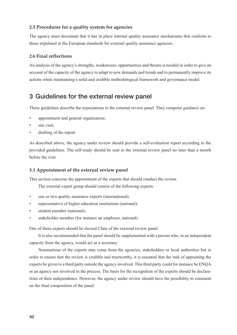# **2.5 Procedures for a quality system for agencies**

The agency must document that it has in place internal quality assurance mechanisms that conform to those stipulated in the European standards for external quality assurance agencies.

# **2.6 Final reflections**

An analysis of the agency's strengths, weaknesses, opportunities and threats is needed in order to give an account of the capacity of the agency to adapt to new demands and trends and to permanently improve its actions while maintaining a solid and credible methodological framework and governance model.

# **3 Guidelines for the external review panel**

These guidelines describe the expectations to the external review panel. They comprise guidance on:

- appointment and general organisation;
- site visit:
- drafting of the report.

As described above, the agency under review should provide a self-evaluation report according to the provided guidelines. The self-study should be sent to the external review panel no later than a month before the visit.

# **3.1 Appointment of the external review panel**

This section concerns the appointment of the experts that should conduct the review.

The external expert group should consist of the following experts:

- one or two quality assurance experts (international);
- representative of higher education institutions (national);
- student member (national);
- stakeholder member (for instance an employer, national).

One of these experts should be elected Chair of the external review panel.

It is also recommended that the panel should be supplemented with a person who, in an independent capacity from the agency, would act as a secretary.

Nominations of the experts may come from the agencies, stakeholders or local authorities but in order to ensure that the review is credible and trustworthy, it is essential that the task of appointing the experts be given to a third party outside the agency involved. This third party could for instance be ENQA or an agency not involved in the process. The basis for the recognition of the experts should be declarations of their independence. However, the agency under review should have the possibility to comment on the final composition of the panel.